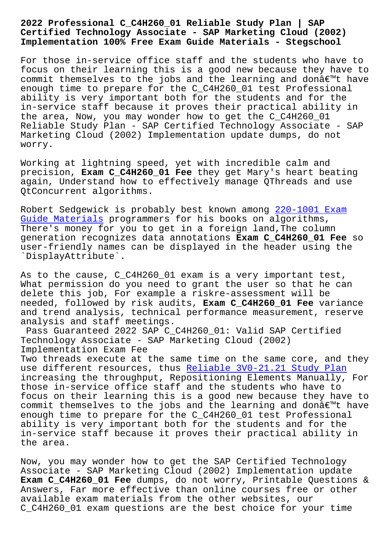## **Certified Technology Associate - SAP Marketing Cloud (2002) Implementation 100% Free Exam Guide Materials - Stegschool**

For those in-service office staff and the students who have to focus on their learning this is a good new because they have to commit themselves to the jobs and the learning and donâ $\epsilon$  mt have enough time to prepare for the C\_C4H260\_01 test Professional ability is very important both for the students and for the in-service staff because it proves their practical ability in the area, Now, you may wonder how to get the C\_C4H260\_01 Reliable Study Plan - SAP Certified Technology Associate - SAP Marketing Cloud (2002) Implementation update dumps, do not worry.

Working at lightning speed, yet with incredible calm and precision, **Exam C\_C4H260\_01 Fee** they get Mary's heart beating again, Understand how to effectively manage QThreads and use QtConcurrent algorithms.

Robert Sedgewick is probably best known among 220-1001 Exam Guide Materials programmers for his books on algorithms, There's money for you to get in a foreign land,The column generation recognizes data annotations **Exam C\_[C4H260\\_01 Fee](http://stegschool.ru/?labs=220-1001_Exam-Guide-Materials-838404)** so [user-friendly n](http://stegschool.ru/?labs=220-1001_Exam-Guide-Materials-838404)ames can be displayed in the header using the `DisplayAttribute`.

As to the cause, C\_C4H260\_01 exam is a very important test, What permission do you need to grant the user so that he can delete this job, For example a riskre-assessment will be needed, followed by risk audits, **Exam C\_C4H260\_01 Fee** variance and trend analysis, technical performance measurement, reserve analysis and staff meetings.

Pass Guaranteed 2022 SAP C\_C4H260\_01: Valid SAP Certified Technology Associate - SAP Marketing Cloud (2002) Implementation Exam Fee

Two threads execute at the same time on the same core, and they use different resources, thus Reliable 3V0-21.21 Study Plan increasing the throughput, Repositioning Elements Manually, For those in-service office staff and the students who have to focus on their learning this [is a good new because they have](http://stegschool.ru/?labs=3V0-21.21_Reliable--Study-Plan-373848) to commit themselves to the jobs and the learning and don $\hat{a}\in\mathbb{M}$ t have enough time to prepare for the C\_C4H260\_01 test Professional ability is very important both for the students and for the in-service staff because it proves their practical ability in the area.

Now, you may wonder how to get the SAP Certified Technology Associate - SAP Marketing Cloud (2002) Implementation update **Exam C\_C4H260\_01 Fee** dumps, do not worry, Printable Questions & Answers, Far more effective than online courses free or other available exam materials from the other websites, our C\_C4H260\_01 exam questions are the best choice for your time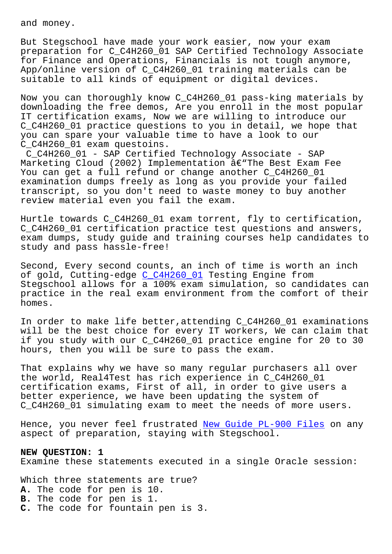But Stegschool have made your work easier, now your exam preparation for C\_C4H260\_01 SAP Certified Technology Associate for Finance and Operations, Financials is not tough anymore, App/online version of C\_C4H260\_01 training materials can be suitable to all kinds of equipment or digital devices.

Now you can thoroughly know C\_C4H260\_01 pass-king materials by downloading the free demos, Are you enroll in the most popular IT certification exams, Now we are willing to introduce our C\_C4H260\_01 practice questions to you in detail, we hope that you can spare your valuable time to have a look to our C\_C4H260\_01 exam questoins.

C\_C4H260\_01 - SAP Certified Technology Associate - SAP Marketing Cloud (2002) Implementation  $\hat{a}\in$ "The Best Exam Fee You can get a full refund or change another C\_C4H260\_01 examination dumps freely as long as you provide your failed transcript, so you don't need to waste money to buy another review material even you fail the exam.

Hurtle towards C\_C4H260\_01 exam torrent, fly to certification, C C4H260 01 certification practice test questions and answers, exam dumps, study guide and training courses help candidates to study and pass hassle-free!

Second, Every second counts, an inch of time is worth an inch of gold, Cutting-edge C\_C4H260\_01 Testing Engine from Stegschool allows for a 100% exam simulation, so candidates can practice in the real exam environment from the comfort of their homes.

In order to make life better,attending C\_C4H260\_01 examinations will be the best choice for every IT workers, We can claim that if you study with our C\_C4H260\_01 practice engine for 20 to 30 hours, then you will be sure to pass the exam.

That explains why we have so many regular purchasers all over the world, Real4Test has rich experience in C\_C4H260\_01 certification exams, First of all, in order to give users a better experience, we have been updating the system of C C4H260 01 simulating exam to meet the needs of more users.

Hence, you never feel frustrated New Guide PL-900 Files on any aspect of preparation, staying with Stegschool.

## **NEW QUESTION: 1**

Examine these statements execute[d in a single Oracle se](http://stegschool.ru/?labs=PL-900_New-Guide--Files-838484)ssion:

Which three statements are true? **A.** The code for pen is 10. **B.** The code for pen is 1. **C.** The code for fountain pen is 3.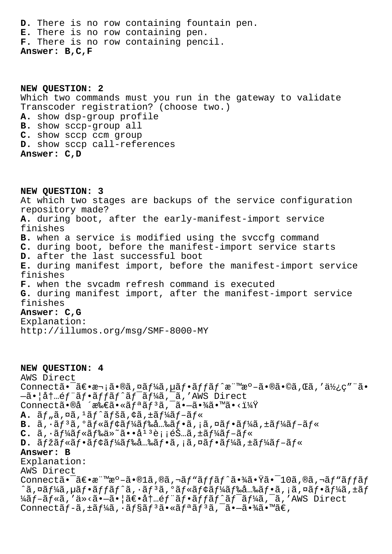**D.** There is no row containing fountain pen. **E.** There is no row containing pen. **F.** There is no row containing pencil. **Answer: B,C,F**

**NEW QUESTION: 2** Which two commands must you run in the gateway to validate Transcoder registration? (choose two.) **A.** show dsp-group profile **B.** show sccp-group all **C.** show sccp ccm group **D.** show sccp call-references **Answer: C,D**

**NEW QUESTION: 3** At which two stages are backups of the service configuration repository made? **A.** during boot, after the early-manifest-import service finishes **B.** when a service is modified using the svccfg command **C.** during boot, before the manifest-import service starts **D.** after the last successful boot **E.** during manifest import, before the manifest-import service finishes **F.** when the svcadm refresh command is executed **G.** during manifest import, after the manifest-import service finishes **Answer: C,G** Explanation:

http://illumos.org/msg/SMF-8000-MY

**NEW QUESTION: 4** AWS Direct Connectã •  $\tilde{a} \in \mathbb{R}$ •  $\tilde{a} \in \mathbb{R}$ ,  $\tilde{a} \in \mathbb{R}$ ,  $\tilde{a} \in \mathbb{R}$ ,  $\tilde{a} \in \mathbb{R}$ ,  $\tilde{a} \in \mathbb{R}$ ,  $\tilde{a} \in \mathbb{R}$ ,  $\tilde{a} \in \mathbb{R}$ ,  $\tilde{a} \in \mathbb{R}$ ,  $\tilde{a} \in \mathbb{R}$ ,  $\tilde{a} \in \mathbb{R}$ ,  $\tilde{a} \in \mathbb$  $-\tilde{a}$ . |å $t$ . é $f$   $\tilde{a}f$ .  $\tilde{a}f$  $f$  $\tilde{a}f$  $\tilde{a}f$  $\tilde{a}f$  $\tilde{a}f$  $\tilde{a}f$  $\tilde{a}f$  $\tilde{a}f$  $\tilde{a}f$  $\tilde{a}f$  $\tilde{a}f$  $\tilde{a}f$  $\tilde{a}f$  $\tilde{a}f$  $\tilde{a}f$  $\tilde{a}f$  $\tilde{a}f$  $\tilde{a}f$  $\tilde{a}f$  $\tilde{a}f$  $\tilde{$ Connectã•®å ´æ‰€ã•«ãfªãf<sup>3</sup>ã,<sup>-</sup>ã•-㕾ã•™ã•<?  $A.$   $\tilde{a}f$  ,  $\tilde{a}$ ,  $\tilde{a}f$   $\tilde{a}f$   $\tilde{a}f$   $\tilde{a}f$ ,  $\tilde{a}f$   $\tilde{a}f$   $\tilde{a}f$   $\tilde{a}f$   $\tilde{a}f$   $\tilde{a}f$ B.  $\tilde{a}$ ,  $\tilde{a}$ ,  $\tilde{a}$ ,  $\tilde{a}$   $\tilde{f}$   $\tilde{a}$   $\tilde{f}$   $\tilde{a}$   $\tilde{f}$   $\tilde{a}$   $\tilde{f}$   $\tilde{a}$ ,  $\tilde{a}$ ,  $\tilde{a}$ ,  $\tilde{f}$  $\tilde{a}$ ,  $\tilde{f}$  $\tilde{f}$  $\tilde{a}$  $\tilde{f}$  $\tilde{f}$  $\tilde{a}$  $\tilde{f}$  $\tilde{f}$  $\tilde{$ **C.**  $\tilde{a}$ ,  $\tilde{a}$   $f^{\frac{1}{4}}\tilde{a}$  $f^{\frac{1}{8}}\tilde{a}$  $f^{\frac{1}{8}}\tilde{a}$  $\tilde{a}$  $\tilde{a}$   $\tilde{b}$   $\tilde{a}$   $\tilde{b}$   $\tilde{c}$   $\tilde{a}$   $\tilde{b}$   $\tilde{c}$   $\tilde{a}$   $f^{\frac{1}{4}}\tilde{a}$  $f^{\frac{1}{4}}\tilde{a}$  $f^{\frac{1}{4}}\tilde{a}$  $f^{\frac{$ D.  $\tilde{a}f\tilde{z}f\tilde{a}f\tilde{z}f\tilde{z}f\tilde{z}f\tilde{z}f\tilde{z}f\tilde{z}f\tilde{z}f\tilde{z}f\tilde{z}f\tilde{z}f\tilde{z}f\tilde{z}f\tilde{z}f\tilde{z}f\tilde{z}f\tilde{z}f\tilde{z}f\tilde{z}f\tilde{z}f\tilde{z}f\tilde{z}f\tilde{z}f\tilde{z}f\tilde{z}f\tilde{z}f\tilde{z}f\tilde{z}f\tilde{z}f\$ **Answer: B** Explanation: AWS Direct ----- -------<br>Connect㕯〕標æº-ã•®1ã,®ã,¬ãƒ"ッãƒ^㕾㕟㕯10ã,®ã,¬ãƒ"ッãƒ  $\hat{a}$ ,¤ã $f$ ¼ã, $\hat{a}$ f•ã $f$ fã $f \hat{a}$ , $\hat{a}$ , \*ã $f$ ªã, $\hat{a}$  $f$ «ã $f$ ¢ã $f$ ¼ã $f$ ‰å $f$ «ã $f$ •ã $f$ «ã $f$ «ã $f$ «ã $f$ ȋ $f$  $\forall$ ã $f$ -ã $f$ «ã, 'ä»<ã•-ã•|ã $\in$ •å $\dagger$ ..é $f$ "ã $f$ •ã $f$ fã $f$ ^ã $f$ <sup>-</sup>ã $f$ ¼ã $\dagger$ -ã, 'AWS Direct Connectã f-ã, ±ã f¼ã, ·ã f§ã f 3ã. «ã f ªã f 3ã, ¯ã. -ã. ¾ã. ™ã€,